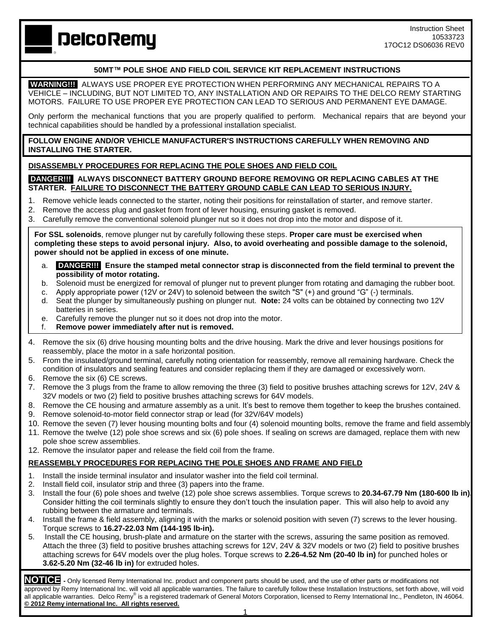**DelcoRemy** 

# **50MT™ POLE SHOE AND FIELD COIL SERVICE KIT REPLACEMENT INSTRUCTIONS**

**WARNING!!!** ALWAYS USE PROPER EYE PROTECTION WHEN PERFORMING ANY MECHANICAL REPAIRS TO A VEHICLE – INCLUDING, BUT NOT LIMITED TO, ANY INSTALLATION AND OR REPAIRS TO THE DELCO REMY STARTING MOTORS. FAILURE TO USE PROPER EYE PROTECTION CAN LEAD TO SERIOUS AND PERMANENT EYE DAMAGE.

Only perform the mechanical functions that you are properly qualified to perform. Mechanical repairs that are beyond your technical capabilities should be handled by a professional installation specialist.

**FOLLOW ENGINE AND/OR VEHICLE MANUFACTURER'S INSTRUCTIONS CAREFULLY WHEN REMOVING AND INSTALLING THE STARTER.**

## **DISASSEMBLY PROCEDURES FOR REPLACING THE POLE SHOES AND FIELD COIL**

#### **DANGER!!! ALWAYS DISCONNECT BATTERY GROUND BEFORE REMOVING OR REPLACING CABLES AT THE STARTER. FAILURE TO DISCONNECT THE BATTERY GROUND CABLE CAN LEAD TO SERIOUS INJURY.**

- 1. Remove vehicle leads connected to the starter, noting their positions for reinstallation of starter, and remove starter.
- 2. Remove the access plug and gasket from front of lever housing, ensuring gasket is removed.
- 3. Carefully remove the conventional solenoid plunger nut so it does not drop into the motor and dispose of it.

**For SSL solenoids**, remove plunger nut by carefully following these steps. **Proper care must be exercised when completing these steps to avoid personal injury. Also, to avoid overheating and possible damage to the solenoid, power should not be applied in excess of one minute.**

- a. **DANGER!!! Ensure the stamped metal connector strap is disconnected from the field terminal to prevent the possibility of motor rotating.**
- b. Solenoid must be energized for removal of plunger nut to prevent plunger from rotating and damaging the rubber boot.
- c. Apply appropriate power (12V or 24V) to solenoid between the switch "S" (+) and ground "G" (-) terminals.
- d. Seat the plunger by simultaneously pushing on plunger nut. **Note:** 24 volts can be obtained by connecting two 12V batteries in series.
- e. Carefully remove the plunger nut so it does not drop into the motor.

## f. **Remove power immediately after nut is removed.**

- 4. Remove the six (6) drive housing mounting bolts and the drive housing. Mark the drive and lever housings positions for reassembly, place the motor in a safe horizontal position.
- 5. From the insulated/ground terminal, carefully noting orientation for reassembly, remove all remaining hardware. Check the condition of insulators and sealing features and consider replacing them if they are damaged or excessively worn.
- 6. Remove the six (6) CE screws.
- 7. Remove the 3 plugs from the frame to allow removing the three (3) field to positive brushes attaching screws for 12V, 24V & 32V models or two (2) field to positive brushes attaching screws for 64V models.
- 8. Remove the CE housing and armature assembly as a unit. It's best to remove them together to keep the brushes contained.
- 9. Remove solenoid-to-motor field connector strap or lead (for 32V/64V models)
- 10. Remove the seven (7) lever housing mounting bolts and four (4) solenoid mounting bolts, remove the frame and field assembly
- 11. Remove the twelve (12) pole shoe screws and six (6) pole shoes. If sealing on screws are damaged, replace them with new pole shoe screw assemblies.
- 12. Remove the insulator paper and release the field coil from the frame.

## **REASSEMBLY PROCEDURES FOR REPLACING THE POLE SHOES AND FRAME AND FIELD**

- 1. Install the inside terminal insulator and insulator washer into the field coil terminal.
- 2. Install field coil, insulator strip and three (3) papers into the frame.
- 3. Install the four (6) pole shoes and twelve (12) pole shoe screws assemblies. Torque screws to **20.34-67.79 Nm (180-600 lb in).** Consider hitting the coil terminals slightly to ensure they don't touch the insulation paper. This will also help to avoid any rubbing between the armature and terminals.
- 4. Install the frame & field assembly, aligning it with the marks or solenoid position with seven (7) screws to the lever housing. Torque screws to **16.27-22.03 Nm (144-195 lb-in).**
- 5. Install the CE housing, brush-plate and armature on the starter with the screws, assuring the same position as removed. Attach the three (3) field to positive brushes attaching screws for 12V, 24V & 32V models or two (2) field to positive brushes attaching screws for 64V models over the plug holes. Torque screws to **2.26-4.52 Nm (20-40 lb in)** for punched holes or **3.62-5.20 Nm (32-46 lb in)** for extruded holes.

**NOTICE -** Only licensed Remy International Inc. product and component parts should be used, and the use of other parts or modifications not approved by Remy International Inc. will void all applicable warranties. The failure to carefully follow these Installation Instructions, set forth above, will void all applicable warranties. Delco Remy® is a registered trademark of General Motors Corporation, licensed to Remy International Inc., Pendleton, IN 46064. **© 2012 Remy international Inc. All rights reserved.** 

1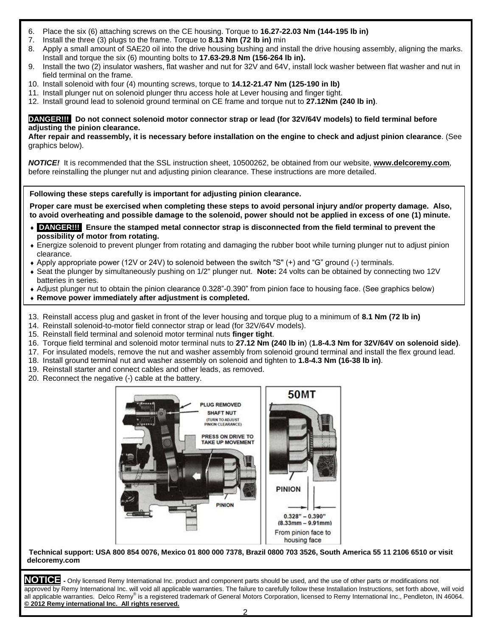- 6. Place the six (6) attaching screws on the CE housing. Torque to **16.27-22.03 Nm (144-195 lb in)**
- 7. Install the three (3) plugs to the frame. Torque to **8.13 Nm (72 lb in)** min
- 8. Apply a small amount of SAE20 oil into the drive housing bushing and install the drive housing assembly, aligning the marks. Install and torque the six (6) mounting bolts to **17.63-29.8 Nm (156-264 lb in).**
- 9. Install the two (2) insulator washers, flat washer and nut for 32V and 64V, install lock washer between flat washer and nut in field terminal on the frame.
- 10. Install solenoid with four (4) mounting screws, torque to **14.12-21.47 Nm (125-190 in lb)**
- 11. Install plunger nut on solenoid plunger thru access hole at Lever housing and finger tight.
- 12. Install ground lead to solenoid ground terminal on CE frame and torque nut to **27.12Nm (240 lb in)**.

#### **DANGER!!! Do not connect solenoid motor connector strap or lead (for 32V/64V models) to field terminal before adjusting the pinion clearance.**

**After repair and reassembly, it is necessary before installation on the engine to check and adjust pinion clearance**. (See graphics below).

*NOTICE!* It is recommended that the SSL instruction sheet, 10500262, be obtained from our website, **[www.delcoremy.com](http://www.delcoremy.com/)**, before reinstalling the plunger nut and adjusting pinion clearance. These instructions are more detailed.

**Following these steps carefully is important for adjusting pinion clearance.**

**Proper care must be exercised when completing these steps to avoid personal injury and/or property damage. Also, to avoid overheating and possible damage to the solenoid, power should not be applied in excess of one (1) minute.**

- **DANGER!!! Ensure the stamped metal connector strap is disconnected from the field terminal to prevent the possibility of motor from rotating.**
- Energize solenoid to prevent plunger from rotating and damaging the rubber boot while turning plunger nut to adjust pinion clearance.
- Apply appropriate power (12V or 24V) to solenoid between the switch "S" (+) and "G" ground (-) terminals.
- Seat the plunger by simultaneously pushing on 1/2" plunger nut. **Note:** 24 volts can be obtained by connecting two 12V batteries in series.
- Adjust plunger nut to obtain the pinion clearance 0.328"-0.390" from pinion face to housing face. (See graphics below)
- **Remove power immediately after adjustment is completed.**
- 13. Reinstall access plug and gasket in front of the lever housing and torque plug to a minimum of **8.1 Nm (72 lb in)**
- 14. Reinstall solenoid-to-motor field connector strap or lead (for 32V/64V models).
- 15. Reinstall field terminal and solenoid motor terminal nuts **finger tight**.
- 16. Torque field terminal and solenoid motor terminal nuts to **27.12 Nm (240 lb in**) (**1.8-4.3 Nm for 32V/64V on solenoid side)**.
- 17. For insulated models, remove the nut and washer assembly from solenoid ground terminal and install the flex ground lead.
- 18. Install ground terminal nut and washer assembly on solenoid and tighten to **1.8-4.3 Nm (16-38 lb in)**.
- 19. Reinstall starter and connect cables and other leads, as removed.
- 20. Reconnect the negative (-) cable at the battery.



**Technical support: USA 800 854 0076, Mexico 01 800 000 7378, Brazil 0800 703 3526, South America 55 11 2106 6510 or visit delcoremy.com**

**NOTICE -** Only licensed Remy International Inc. product and component parts should be used, and the use of other parts or modifications not approved by Remy International Inc. will void all applicable warranties. The failure to carefully follow these Installation Instructions, set forth above, will void all applicable warranties. Delco Remy® is a registered trademark of General Motors Corporation, licensed to Remy International Inc., Pendleton, IN 46064. **© 2012 Remy international Inc. All rights reserved.**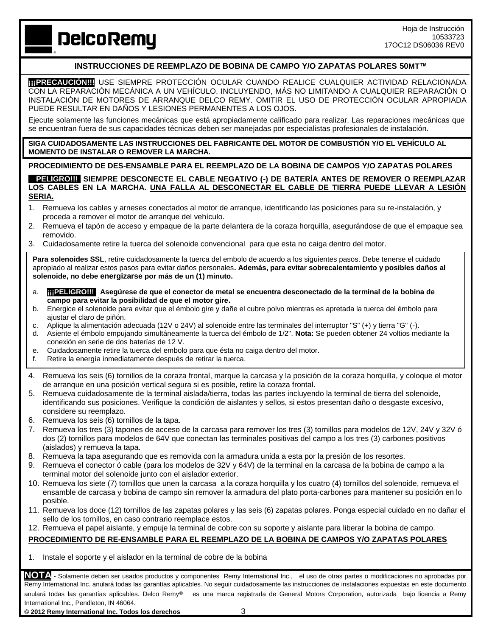**DelcoRemy** 

# **INSTRUCCIONES DE REEMPLAZO DE BOBINA DE CAMPO Y/O ZAPATAS POLARES 50MT™**

 **ITIPRECAUCIÓN!!!** USE SIEMPRE PROTECCIÓN OCULAR CUANDO REALICE CUALQUIER ACTIVIDAD RELACIONADA CON LA REPARACIÓN MECÁNICA A UN VEHÍCULO, INCLUYENDO, MÁS NO LIMITANDO A CUALQUIER REPARACIÓN O INSTALACIÓN DE MOTORES DE ARRANQUE DELCO REMY. OMITIR EL USO DE PROTECCIÓN OCULAR APROPIADA PUEDE RESULTAR EN DAÑOS Y LESIONES PERMANENTES A LOS OJOS.

Ejecute solamente las funciones mecánicas que está apropiadamente calificado para realizar. Las reparaciones mecánicas que se encuentran fuera de sus capacidades técnicas deben ser manejadas por especialistas profesionales de instalación.

**SIGA CUIDADOSAMENTE LAS INSTRUCCIONES DEL FABRICANTE DEL MOTOR DE COMBUSTIÓN Y/O EL VEHÍCULO AL MOMENTO DE INSTALAR O REMOVER LA MARCHA.**

#### **PROCEDIMIENTO DE DES-ENSAMBLE PARA EL REEMPLAZO DE LA BOBINA DE CAMPOS Y/O ZAPATAS POLARES**

**• 11 GROI!! SIEMPRE DESCONECTE EL CABLE NEGATIVO (-) DE BATERÍA ANTES DE REMOVER O REEMPLAZAR LOS CABLES EN LA MARCHA. UNA FALLA AL DESCONECTAR EL CABLE DE TIERRA PUEDE LLEVAR A LESIÓN SERIA.**

- 1. Remueva los cables y arneses conectados al motor de arranque, identificando las posiciones para su re-instalación, y proceda a remover el motor de arranque del vehículo.
- 2. Remueva el tapón de acceso y empaque de la parte delantera de la coraza horquilla, asegurándose de que el empaque sea removido.
- 3. Cuidadosamente retire la tuerca del solenoide convencional para que esta no caiga dentro del motor.

Para solenoides SSL, retire cuidadosamente la tuerca del embolo de acuerdo a los siguientes pasos. Debe tenerse el cuidado apropiado al realizar estos pasos para evitar daños personales**. Además, para evitar sobrecalentamiento y posibles daños al solenoide, no debe energizarse por más de un (1) minuto.**

- a. **¡¡¡PELIGRO!!! Asegúrese de que el conector de metal se encuentra desconectado de la terminal de la bobina de campo para evitar la posibilidad de que el motor gire.**
- b. Energice el solenoide para evitar que el émbolo gire y dañe el cubre polvo mientras es apretada la tuerca del émbolo para ajustar el claro de piñón.
- c. Aplique la alimentación adecuada (12V o 24V) al solenoide entre las terminales del interruptor "S" (+) y tierra "G" (-).
- d. Asiente el émbolo empujando simultáneamente la tuerca del émbolo de 1/2". **Nota:** Se pueden obtener 24 voltios mediante la conexión en serie de dos baterías de 12 V.
- e. Cuidadosamente retire la tuerca del embolo para que ésta no caiga dentro del motor.
- f. Retire la energía inmediatamente después de retirar la tuerca.
- 4. Remueva los seis (6) tornillos de la coraza frontal, marque la carcasa y la posición de la coraza horquilla, y coloque el motor de arranque en una posición vertical segura si es posible, retire la coraza frontal.
- 5. Remueva cuidadosamente de la terminal aislada/tierra, todas las partes incluyendo la terminal de tierra del solenoide, identificando sus posiciones. Verifique la condición de aislantes y sellos, si estos presentan daño o desgaste excesivo, considere su reemplazo.
- 6. Remueva los seis (6) tornillos de la tapa.
- 7. Remueva los tres (3) tapones de acceso de la carcasa para remover los tres (3) tornillos para modelos de 12V, 24V y 32V ó dos (2) tornillos para modelos de 64V que conectan las terminales positivas del campo a los tres (3) carbones positivos (aislados) y remueva la tapa.
- 8. Remueva la tapa asegurando que es removida con la armadura unida a esta por la presión de los resortes.
- 9. Remueva el conector ó cable (para los modelos de 32V y 64V) de la terminal en la carcasa de la bobina de campo a la terminal motor del solenoide junto con el aislador exterior.
- 10. Remueva los siete (7) tornillos que unen la carcasa a la coraza horquilla y los cuatro (4) tornillos del solenoide, remueva el ensamble de carcasa y bobina de campo sin remover la armadura del plato porta-carbones para mantener su posición en lo posible.
- 11. Remueva los doce (12) tornillos de las zapatas polares y las seis (6) zapatas polares. Ponga especial cuidado en no dañar el sello de los tornillos, en caso contrario reemplace estos.
- 12. Remueva el papel aislante, y empuje la terminal de cobre con su soporte y aislante para liberar la bobina de campo.

## **PROCEDIMIENTO DE RE-ENSAMBLE PARA EL REEMPLAZO DE LA BOBINA DE CAMPOS Y/O ZAPATAS POLARES**

1. Instale el soporte y el aislador en la terminal de cobre de la bobina

**NOTA -** Solamente deben ser usados productos y componentes Remy International Inc., el uso de otras partes o modificaciones no aprobadas por Remy International Inc. anulará todas las garantías aplicables. No seguir cuidadosamente las instrucciones de instalaciones expuestas en este documento anulará todas las garantías aplicables. Delco Remv<sup>®</sup> es una marca registrada de General Motors Corporation, autorizada bajo licencia a Remy International Inc., Pendleton, IN 46064.

**© 2012 Remy International Inc. Todos los derechos** 3